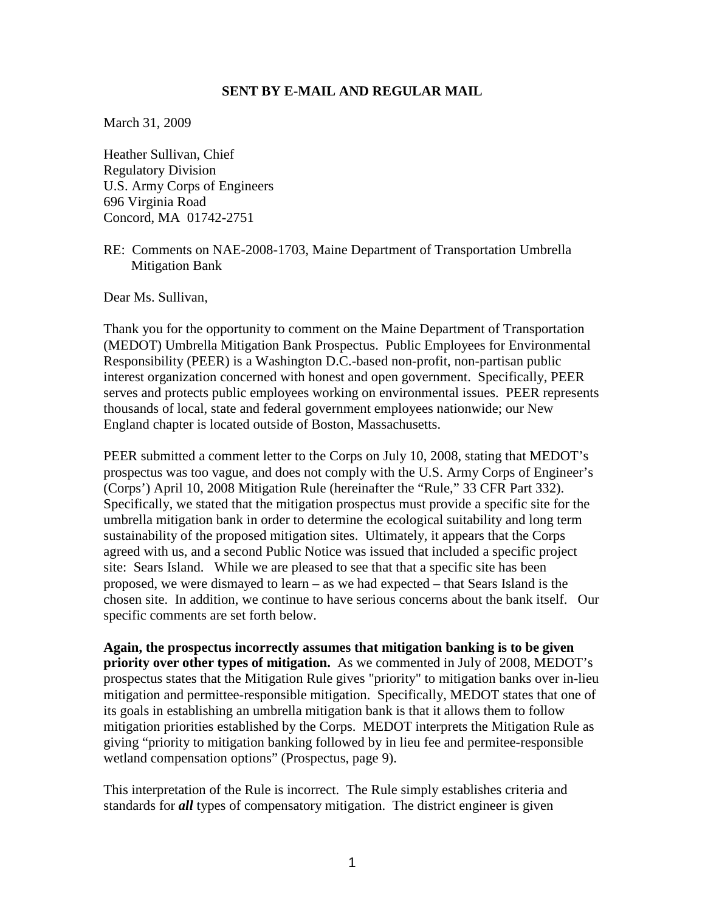## **SENT BY E-MAIL AND REGULAR MAIL**

March 31, 2009

Heather Sullivan, Chief Regulatory Division U.S. Army Corps of Engineers 696 Virginia Road Concord, MA 01742-2751

RE: Comments on NAE-2008-1703, Maine Department of Transportation Umbrella Mitigation Bank

Dear Ms. Sullivan,

Thank you for the opportunity to comment on the Maine Department of Transportation (MEDOT) Umbrella Mitigation Bank Prospectus. Public Employees for Environmental Responsibility (PEER) is a Washington D.C.-based non-profit, non-partisan public interest organization concerned with honest and open government. Specifically, PEER serves and protects public employees working on environmental issues. PEER represents thousands of local, state and federal government employees nationwide; our New England chapter is located outside of Boston, Massachusetts.

PEER submitted a comment letter to the Corps on July 10, 2008, stating that MEDOT's prospectus was too vague, and does not comply with the U.S. Army Corps of Engineer's (Corps') April 10, 2008 Mitigation Rule (hereinafter the "Rule," 33 CFR Part 332). Specifically, we stated that the mitigation prospectus must provide a specific site for the umbrella mitigation bank in order to determine the ecological suitability and long term sustainability of the proposed mitigation sites. Ultimately, it appears that the Corps agreed with us, and a second Public Notice was issued that included a specific project site: Sears Island. While we are pleased to see that that a specific site has been proposed, we were dismayed to learn – as we had expected – that Sears Island is the chosen site. In addition, we continue to have serious concerns about the bank itself. Our specific comments are set forth below.

**Again, the prospectus incorrectly assumes that mitigation banking is to be given priority over other types of mitigation.** As we commented in July of 2008, MEDOT's prospectus states that the Mitigation Rule gives "priority" to mitigation banks over in-lieu mitigation and permittee-responsible mitigation. Specifically, MEDOT states that one of its goals in establishing an umbrella mitigation bank is that it allows them to follow mitigation priorities established by the Corps. MEDOT interprets the Mitigation Rule as giving "priority to mitigation banking followed by in lieu fee and permitee-responsible wetland compensation options" (Prospectus, page 9).

This interpretation of the Rule is incorrect. The Rule simply establishes criteria and standards for *all* types of compensatory mitigation. The district engineer is given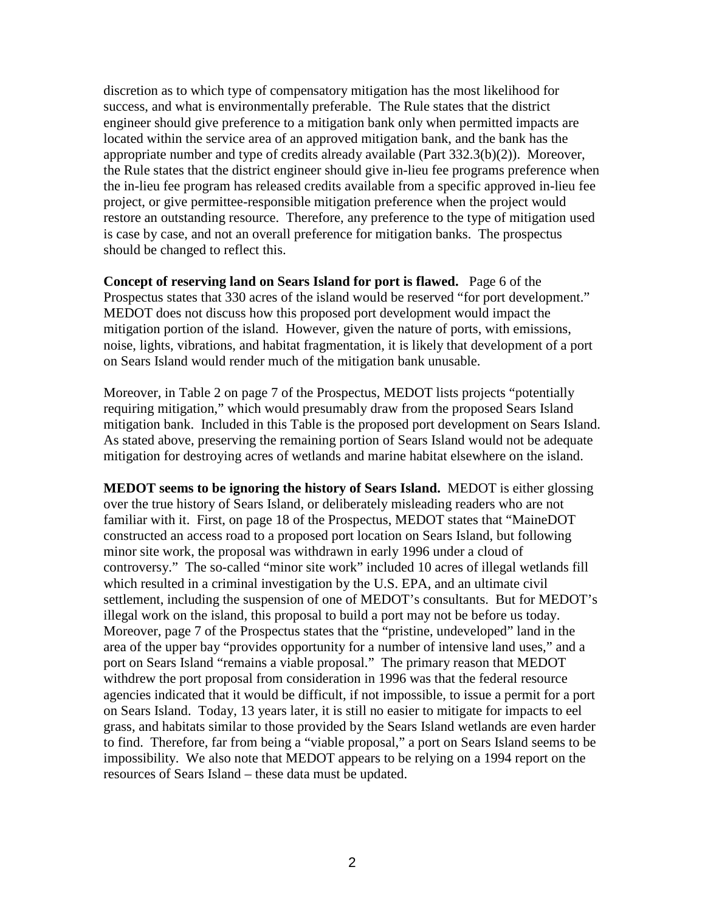discretion as to which type of compensatory mitigation has the most likelihood for success, and what is environmentally preferable. The Rule states that the district engineer should give preference to a mitigation bank only when permitted impacts are located within the service area of an approved mitigation bank, and the bank has the appropriate number and type of credits already available (Part 332.3(b)(2)). Moreover, the Rule states that the district engineer should give in-lieu fee programs preference when the in-lieu fee program has released credits available from a specific approved in-lieu fee project, or give permittee-responsible mitigation preference when the project would restore an outstanding resource. Therefore, any preference to the type of mitigation used is case by case, and not an overall preference for mitigation banks. The prospectus should be changed to reflect this.

**Concept of reserving land on Sears Island for port is flawed.** Page 6 of the Prospectus states that 330 acres of the island would be reserved "for port development." MEDOT does not discuss how this proposed port development would impact the mitigation portion of the island. However, given the nature of ports, with emissions, noise, lights, vibrations, and habitat fragmentation, it is likely that development of a port on Sears Island would render much of the mitigation bank unusable.

Moreover, in Table 2 on page 7 of the Prospectus, MEDOT lists projects "potentially requiring mitigation," which would presumably draw from the proposed Sears Island mitigation bank. Included in this Table is the proposed port development on Sears Island. As stated above, preserving the remaining portion of Sears Island would not be adequate mitigation for destroying acres of wetlands and marine habitat elsewhere on the island.

**MEDOT seems to be ignoring the history of Sears Island.** MEDOT is either glossing over the true history of Sears Island, or deliberately misleading readers who are not familiar with it. First, on page 18 of the Prospectus, MEDOT states that "MaineDOT constructed an access road to a proposed port location on Sears Island, but following minor site work, the proposal was withdrawn in early 1996 under a cloud of controversy." The so-called "minor site work" included 10 acres of illegal wetlands fill which resulted in a criminal investigation by the U.S. EPA, and an ultimate civil settlement, including the suspension of one of MEDOT's consultants. But for MEDOT's illegal work on the island, this proposal to build a port may not be before us today. Moreover, page 7 of the Prospectus states that the "pristine, undeveloped" land in the area of the upper bay "provides opportunity for a number of intensive land uses," and a port on Sears Island "remains a viable proposal." The primary reason that MEDOT withdrew the port proposal from consideration in 1996 was that the federal resource agencies indicated that it would be difficult, if not impossible, to issue a permit for a port on Sears Island. Today, 13 years later, it is still no easier to mitigate for impacts to eel grass, and habitats similar to those provided by the Sears Island wetlands are even harder to find. Therefore, far from being a "viable proposal," a port on Sears Island seems to be impossibility. We also note that MEDOT appears to be relying on a 1994 report on the resources of Sears Island – these data must be updated.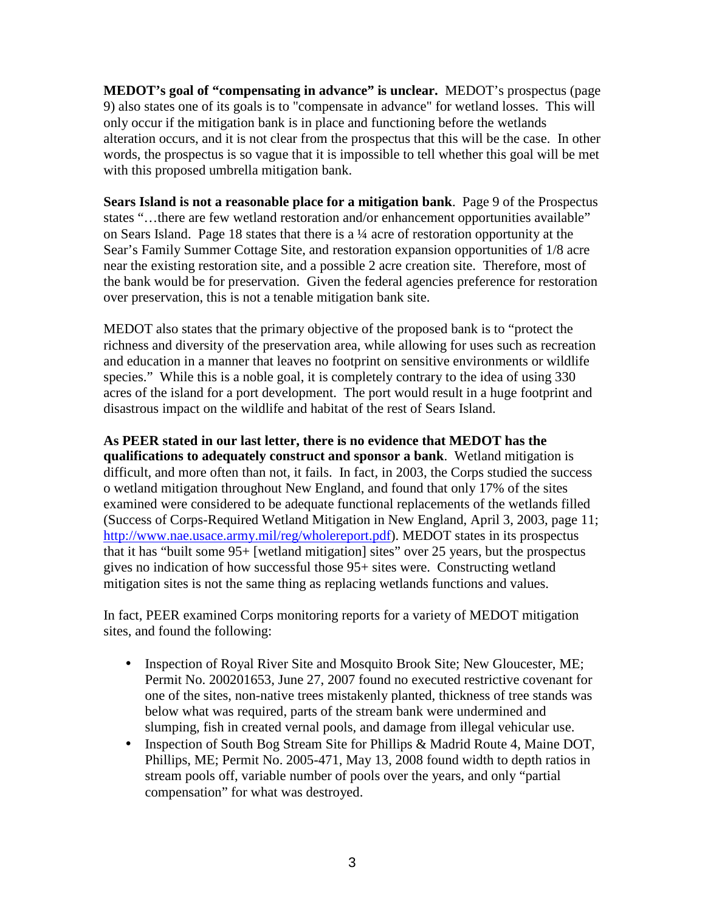**MEDOT's goal of "compensating in advance" is unclear.** MEDOT's prospectus (page 9) also states one of its goals is to "compensate in advance" for wetland losses. This will only occur if the mitigation bank is in place and functioning before the wetlands alteration occurs, and it is not clear from the prospectus that this will be the case. In other words, the prospectus is so vague that it is impossible to tell whether this goal will be met with this proposed umbrella mitigation bank.

**Sears Island is not a reasonable place for a mitigation bank**. Page 9 of the Prospectus states "…there are few wetland restoration and/or enhancement opportunities available" on Sears Island. Page 18 states that there is a ¼ acre of restoration opportunity at the Sear's Family Summer Cottage Site, and restoration expansion opportunities of 1/8 acre near the existing restoration site, and a possible 2 acre creation site. Therefore, most of the bank would be for preservation. Given the federal agencies preference for restoration over preservation, this is not a tenable mitigation bank site.

MEDOT also states that the primary objective of the proposed bank is to "protect the richness and diversity of the preservation area, while allowing for uses such as recreation and education in a manner that leaves no footprint on sensitive environments or wildlife species." While this is a noble goal, it is completely contrary to the idea of using 330 acres of the island for a port development. The port would result in a huge footprint and disastrous impact on the wildlife and habitat of the rest of Sears Island.

## **As PEER stated in our last letter, there is no evidence that MEDOT has the**

**qualifications to adequately construct and sponsor a bank**. Wetland mitigation is difficult, and more often than not, it fails. In fact, in 2003, the Corps studied the success o wetland mitigation throughout New England, and found that only 17% of the sites examined were considered to be adequate functional replacements of the wetlands filled (Success of Corps-Required Wetland Mitigation in New England, April 3, 2003, page 11; http://www.nae.usace.army.mil/reg/wholereport.pdf). MEDOT states in its prospectus that it has "built some 95+ [wetland mitigation] sites" over 25 years, but the prospectus gives no indication of how successful those 95+ sites were. Constructing wetland mitigation sites is not the same thing as replacing wetlands functions and values.

In fact, PEER examined Corps monitoring reports for a variety of MEDOT mitigation sites, and found the following:

- Inspection of Royal River Site and Mosquito Brook Site; New Gloucester, ME; Permit No. 200201653, June 27, 2007 found no executed restrictive covenant for one of the sites, non-native trees mistakenly planted, thickness of tree stands was below what was required, parts of the stream bank were undermined and slumping, fish in created vernal pools, and damage from illegal vehicular use.
- Inspection of South Bog Stream Site for Phillips & Madrid Route 4, Maine DOT, Phillips, ME; Permit No. 2005-471, May 13, 2008 found width to depth ratios in stream pools off, variable number of pools over the years, and only "partial compensation" for what was destroyed.